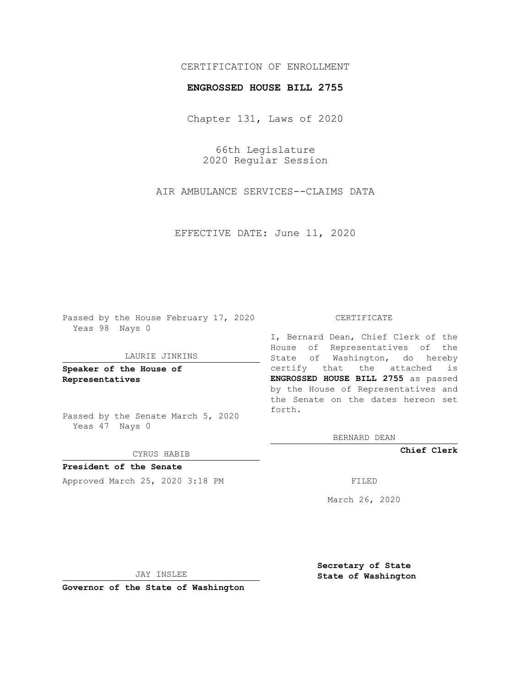# CERTIFICATION OF ENROLLMENT

### **ENGROSSED HOUSE BILL 2755**

Chapter 131, Laws of 2020

66th Legislature 2020 Regular Session

AIR AMBULANCE SERVICES--CLAIMS DATA

EFFECTIVE DATE: June 11, 2020

Passed by the House February 17, 2020 Yeas 98 Nays 0

### LAURIE JINKINS

**Speaker of the House of Representatives**

Passed by the Senate March 5, 2020 Yeas 47 Nays 0

#### CYRUS HABIB

**President of the Senate** Approved March 25, 2020 3:18 PM

#### CERTIFICATE

I, Bernard Dean, Chief Clerk of the House of Representatives of the State of Washington, do hereby certify that the attached is **ENGROSSED HOUSE BILL 2755** as passed by the House of Representatives and the Senate on the dates hereon set forth.

BERNARD DEAN

**Chief Clerk**

March 26, 2020

JAY INSLEE

**Governor of the State of Washington**

**Secretary of State State of Washington**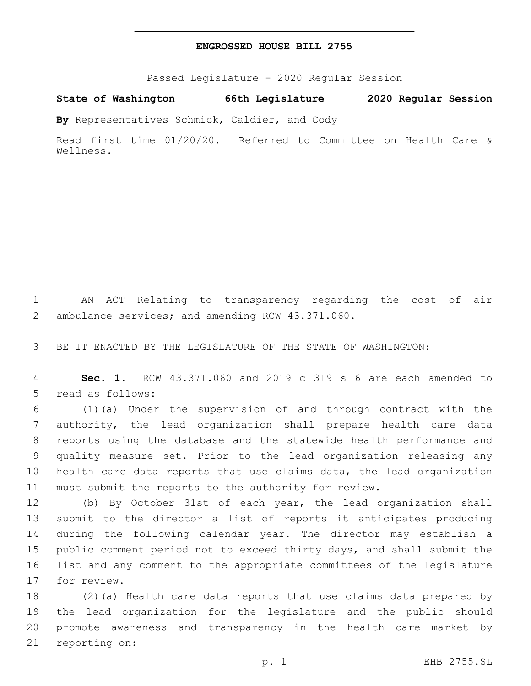# **ENGROSSED HOUSE BILL 2755**

Passed Legislature - 2020 Regular Session

**State of Washington 66th Legislature 2020 Regular Session**

**By** Representatives Schmick, Caldier, and Cody

Read first time 01/20/20. Referred to Committee on Health Care & Wellness.

 AN ACT Relating to transparency regarding the cost of air 2 ambulance services; and amending RCW 43.371.060.

BE IT ENACTED BY THE LEGISLATURE OF THE STATE OF WASHINGTON:

 **Sec. 1.** RCW 43.371.060 and 2019 c 319 s 6 are each amended to 5 read as follows:

 (1)(a) Under the supervision of and through contract with the authority, the lead organization shall prepare health care data reports using the database and the statewide health performance and quality measure set. Prior to the lead organization releasing any health care data reports that use claims data, the lead organization must submit the reports to the authority for review.

 (b) By October 31st of each year, the lead organization shall submit to the director a list of reports it anticipates producing during the following calendar year. The director may establish a public comment period not to exceed thirty days, and shall submit the list and any comment to the appropriate committees of the legislature 17 for review.

 (2)(a) Health care data reports that use claims data prepared by the lead organization for the legislature and the public should promote awareness and transparency in the health care market by 21 reporting on: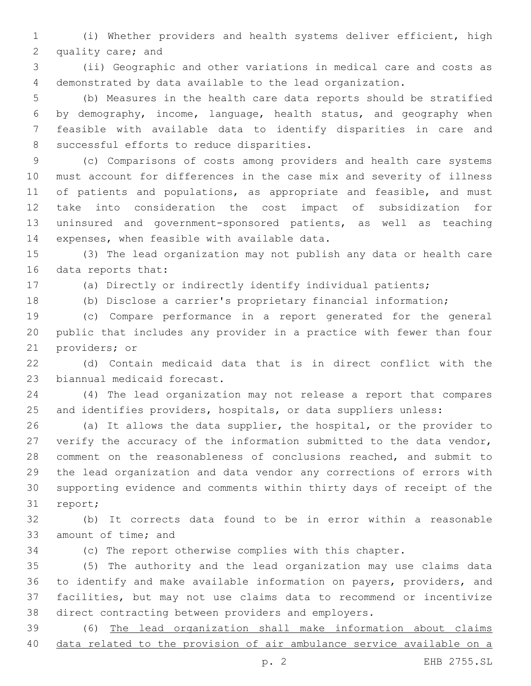(i) Whether providers and health systems deliver efficient, high 2 quality care; and

 (ii) Geographic and other variations in medical care and costs as demonstrated by data available to the lead organization.

 (b) Measures in the health care data reports should be stratified by demography, income, language, health status, and geography when feasible with available data to identify disparities in care and 8 successful efforts to reduce disparities.

 (c) Comparisons of costs among providers and health care systems must account for differences in the case mix and severity of illness 11 of patients and populations, as appropriate and feasible, and must take into consideration the cost impact of subsidization for uninsured and government-sponsored patients, as well as teaching 14 expenses, when feasible with available data.

 (3) The lead organization may not publish any data or health care 16 data reports that:

(a) Directly or indirectly identify individual patients;

(b) Disclose a carrier's proprietary financial information;

 (c) Compare performance in a report generated for the general public that includes any provider in a practice with fewer than four 21 providers; or

 (d) Contain medicaid data that is in direct conflict with the 23 biannual medicaid forecast.

 (4) The lead organization may not release a report that compares and identifies providers, hospitals, or data suppliers unless:

 (a) It allows the data supplier, the hospital, or the provider to verify the accuracy of the information submitted to the data vendor, comment on the reasonableness of conclusions reached, and submit to the lead organization and data vendor any corrections of errors with supporting evidence and comments within thirty days of receipt of the 31 report;

 (b) It corrects data found to be in error within a reasonable 33 amount of time; and

(c) The report otherwise complies with this chapter.

 (5) The authority and the lead organization may use claims data to identify and make available information on payers, providers, and facilities, but may not use claims data to recommend or incentivize direct contracting between providers and employers.

 (6) The lead organization shall make information about claims data related to the provision of air ambulance service available on a